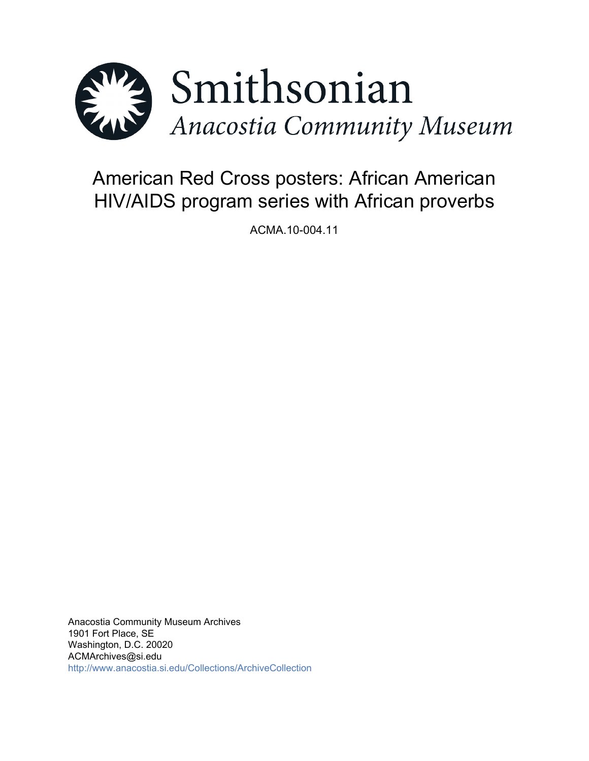

# American Red Cross posters: African American HIV/AIDS program series with African proverbs

ACMA.10-004.11

Anacostia Community Museum Archives 1901 Fort Place, SE Washington, D.C. 20020 ACMArchives@si.edu <http://www.anacostia.si.edu/Collections/ArchiveCollection>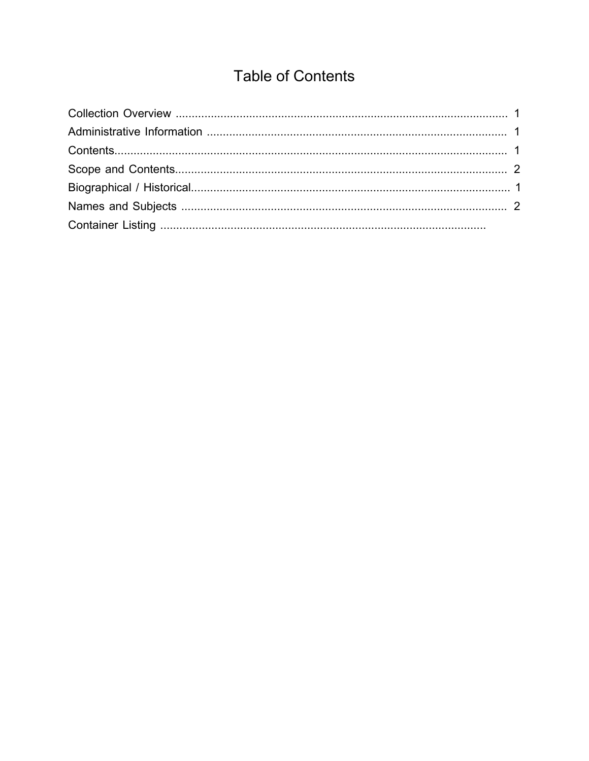## **Table of Contents**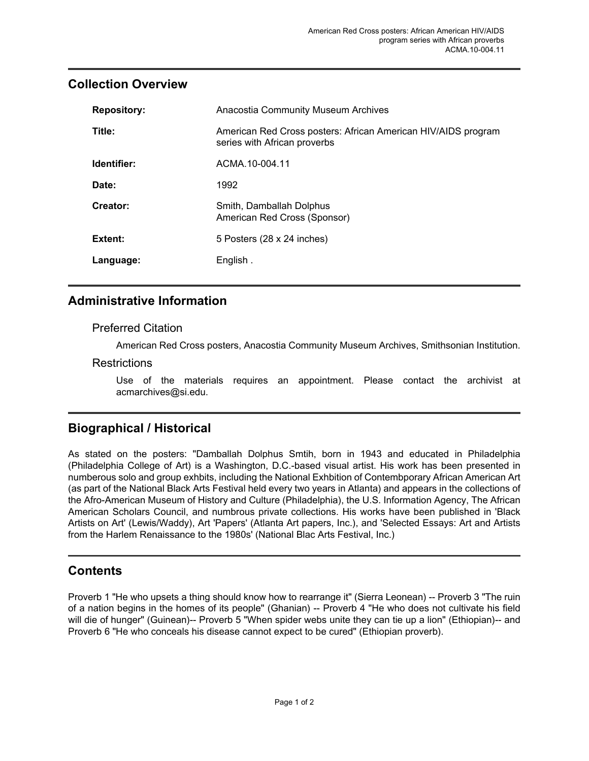## <span id="page-2-0"></span>**Collection Overview**

| <b>Repository:</b> | <b>Anacostia Community Museum Archives</b>                                                    |
|--------------------|-----------------------------------------------------------------------------------------------|
| Title:             | American Red Cross posters: African American HIV/AIDS program<br>series with African proverbs |
| Identifier:        | ACMA.10-004.11                                                                                |
| Date:              | 1992                                                                                          |
| Creator:           | Smith, Damballah Dolphus<br>American Red Cross (Sponsor)                                      |
| Extent:            | 5 Posters (28 x 24 inches)                                                                    |
| Language:          | English.                                                                                      |

## <span id="page-2-1"></span>**Administrative Information**

#### Preferred Citation

American Red Cross posters, Anacostia Community Museum Archives, Smithsonian Institution.

#### **Restrictions**

Use of the materials requires an appointment. Please contact the archivist at acmarchives@si.edu.

## <span id="page-2-3"></span>**Biographical / Historical**

As stated on the posters: "Damballah Dolphus Smtih, born in 1943 and educated in Philadelphia (Philadelphia College of Art) is a Washington, D.C.-based visual artist. His work has been presented in numberous solo and group exhbits, including the National Exhbition of Contembporary African American Art (as part of the National Black Arts Festival held every two years in Atlanta) and appears in the collections of the Afro-American Museum of History and Culture (Philadelphia), the U.S. Information Agency, The African American Scholars Council, and numbrous private collections. His works have been published in 'Black Artists on Art' (Lewis/Waddy), Art 'Papers' (Atlanta Art papers, Inc.), and 'Selected Essays: Art and Artists from the Harlem Renaissance to the 1980s' (National Blac Arts Festival, Inc.)

## <span id="page-2-2"></span>**Contents**

Proverb 1 "He who upsets a thing should know how to rearrange it" (Sierra Leonean) -- Proverb 3 "The ruin of a nation begins in the homes of its people" (Ghanian) -- Proverb 4 "He who does not cultivate his field will die of hunger" (Guinean)-- Proverb 5 "When spider webs unite they can tie up a lion" (Ethiopian)-- and Proverb 6 "He who conceals his disease cannot expect to be cured" (Ethiopian proverb).